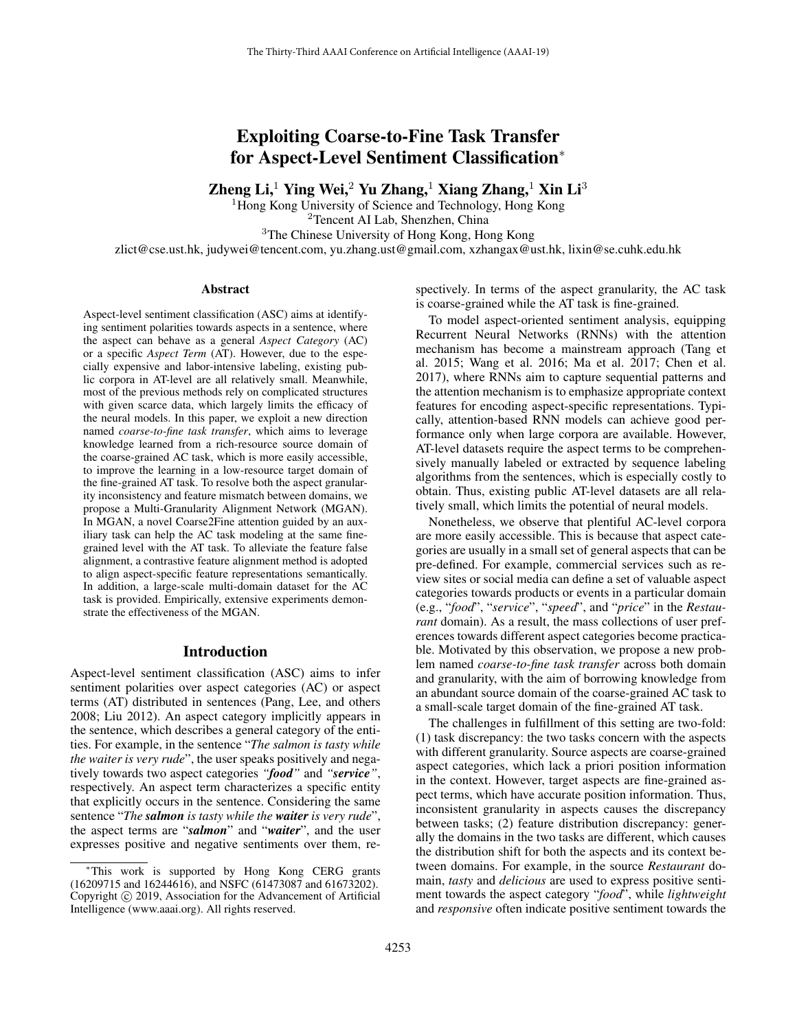# Exploiting Coarse-to-Fine Task Transfer for Aspect-Level Sentiment Classification<sup>∗</sup>

Zheng Li,<sup>1</sup> Ying Wei,<sup>2</sup> Yu Zhang,<sup>1</sup> Xiang Zhang,<sup>1</sup> Xin Li<sup>3</sup>

<sup>1</sup>Hong Kong University of Science and Technology, Hong Kong <sup>2</sup>Tencent AI Lab, Shenzhen, China <sup>3</sup>The Chinese University of Hong Kong, Hong Kong zlict@cse.ust.hk, judywei@tencent.com, yu.zhang.ust@gmail.com, xzhangax@ust.hk, lixin@se.cuhk.edu.hk

#### Abstract

Aspect-level sentiment classification (ASC) aims at identifying sentiment polarities towards aspects in a sentence, where the aspect can behave as a general *Aspect Category* (AC) or a specific *Aspect Term* (AT). However, due to the especially expensive and labor-intensive labeling, existing public corpora in AT-level are all relatively small. Meanwhile, most of the previous methods rely on complicated structures with given scarce data, which largely limits the efficacy of the neural models. In this paper, we exploit a new direction named *coarse-to-fine task transfer*, which aims to leverage knowledge learned from a rich-resource source domain of the coarse-grained AC task, which is more easily accessible, to improve the learning in a low-resource target domain of the fine-grained AT task. To resolve both the aspect granularity inconsistency and feature mismatch between domains, we propose a Multi-Granularity Alignment Network (MGAN). In MGAN, a novel Coarse2Fine attention guided by an auxiliary task can help the AC task modeling at the same finegrained level with the AT task. To alleviate the feature false alignment, a contrastive feature alignment method is adopted to align aspect-specific feature representations semantically. In addition, a large-scale multi-domain dataset for the AC task is provided. Empirically, extensive experiments demonstrate the effectiveness of the MGAN.

## Introduction

Aspect-level sentiment classification (ASC) aims to infer sentiment polarities over aspect categories (AC) or aspect terms (AT) distributed in sentences (Pang, Lee, and others 2008; Liu 2012). An aspect category implicitly appears in the sentence, which describes a general category of the entities. For example, in the sentence "*The salmon is tasty while the waiter is very rude*", the user speaks positively and negatively towards two aspect categories *"food"* and *"service"*, respectively. An aspect term characterizes a specific entity that explicitly occurs in the sentence. Considering the same sentence "*The salmon is tasty while the waiter is very rude*", the aspect terms are "*salmon*" and "*waiter*", and the user expresses positive and negative sentiments over them, respectively. In terms of the aspect granularity, the AC task is coarse-grained while the AT task is fine-grained.

To model aspect-oriented sentiment analysis, equipping Recurrent Neural Networks (RNNs) with the attention mechanism has become a mainstream approach (Tang et al. 2015; Wang et al. 2016; Ma et al. 2017; Chen et al. 2017), where RNNs aim to capture sequential patterns and the attention mechanism is to emphasize appropriate context features for encoding aspect-specific representations. Typically, attention-based RNN models can achieve good performance only when large corpora are available. However, AT-level datasets require the aspect terms to be comprehensively manually labeled or extracted by sequence labeling algorithms from the sentences, which is especially costly to obtain. Thus, existing public AT-level datasets are all relatively small, which limits the potential of neural models.

Nonetheless, we observe that plentiful AC-level corpora are more easily accessible. This is because that aspect categories are usually in a small set of general aspects that can be pre-defined. For example, commercial services such as review sites or social media can define a set of valuable aspect categories towards products or events in a particular domain (e.g., "*food*", "*service*", "*speed*", and "*price*" in the *Restaurant* domain). As a result, the mass collections of user preferences towards different aspect categories become practicable. Motivated by this observation, we propose a new problem named *coarse-to-fine task transfer* across both domain and granularity, with the aim of borrowing knowledge from an abundant source domain of the coarse-grained AC task to a small-scale target domain of the fine-grained AT task.

The challenges in fulfillment of this setting are two-fold: (1) task discrepancy: the two tasks concern with the aspects with different granularity. Source aspects are coarse-grained aspect categories, which lack a priori position information in the context. However, target aspects are fine-grained aspect terms, which have accurate position information. Thus, inconsistent granularity in aspects causes the discrepancy between tasks; (2) feature distribution discrepancy: generally the domains in the two tasks are different, which causes the distribution shift for both the aspects and its context between domains. For example, in the source *Restaurant* domain, *tasty* and *delicious* are used to express positive sentiment towards the aspect category "*food*", while *lightweight* and *responsive* often indicate positive sentiment towards the

<sup>∗</sup>This work is supported by Hong Kong CERG grants (16209715 and 16244616), and NSFC (61473087 and 61673202). Copyright © 2019, Association for the Advancement of Artificial Intelligence (www.aaai.org). All rights reserved.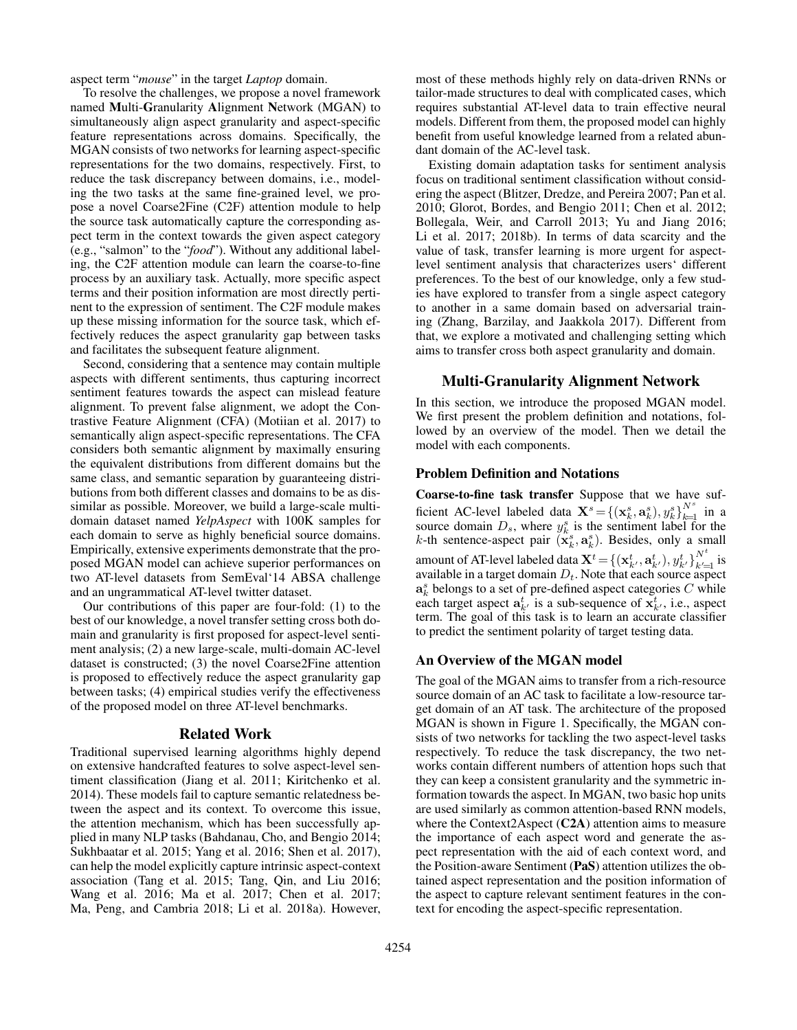aspect term "*mouse*" in the target *Laptop* domain.

To resolve the challenges, we propose a novel framework named Multi-Granularity Alignment Network (MGAN) to simultaneously align aspect granularity and aspect-specific feature representations across domains. Specifically, the MGAN consists of two networks for learning aspect-specific representations for the two domains, respectively. First, to reduce the task discrepancy between domains, i.e., modeling the two tasks at the same fine-grained level, we propose a novel Coarse2Fine (C2F) attention module to help the source task automatically capture the corresponding aspect term in the context towards the given aspect category (e.g., "salmon" to the "*food*"). Without any additional labeling, the C2F attention module can learn the coarse-to-fine process by an auxiliary task. Actually, more specific aspect terms and their position information are most directly pertinent to the expression of sentiment. The C2F module makes up these missing information for the source task, which effectively reduces the aspect granularity gap between tasks and facilitates the subsequent feature alignment.

Second, considering that a sentence may contain multiple aspects with different sentiments, thus capturing incorrect sentiment features towards the aspect can mislead feature alignment. To prevent false alignment, we adopt the Contrastive Feature Alignment (CFA) (Motiian et al. 2017) to semantically align aspect-specific representations. The CFA considers both semantic alignment by maximally ensuring the equivalent distributions from different domains but the same class, and semantic separation by guaranteeing distributions from both different classes and domains to be as dissimilar as possible. Moreover, we build a large-scale multidomain dataset named *YelpAspect* with 100K samples for each domain to serve as highly beneficial source domains. Empirically, extensive experiments demonstrate that the proposed MGAN model can achieve superior performances on two AT-level datasets from SemEval'14 ABSA challenge and an ungrammatical AT-level twitter dataset.

Our contributions of this paper are four-fold: (1) to the best of our knowledge, a novel transfer setting cross both domain and granularity is first proposed for aspect-level sentiment analysis; (2) a new large-scale, multi-domain AC-level dataset is constructed; (3) the novel Coarse2Fine attention is proposed to effectively reduce the aspect granularity gap between tasks; (4) empirical studies verify the effectiveness of the proposed model on three AT-level benchmarks.

#### Related Work

Traditional supervised learning algorithms highly depend on extensive handcrafted features to solve aspect-level sentiment classification (Jiang et al. 2011; Kiritchenko et al. 2014). These models fail to capture semantic relatedness between the aspect and its context. To overcome this issue, the attention mechanism, which has been successfully applied in many NLP tasks (Bahdanau, Cho, and Bengio 2014; Sukhbaatar et al. 2015; Yang et al. 2016; Shen et al. 2017), can help the model explicitly capture intrinsic aspect-context association (Tang et al. 2015; Tang, Qin, and Liu 2016; Wang et al. 2016; Ma et al. 2017; Chen et al. 2017; Ma, Peng, and Cambria 2018; Li et al. 2018a). However,

most of these methods highly rely on data-driven RNNs or tailor-made structures to deal with complicated cases, which requires substantial AT-level data to train effective neural models. Different from them, the proposed model can highly benefit from useful knowledge learned from a related abundant domain of the AC-level task.

Existing domain adaptation tasks for sentiment analysis focus on traditional sentiment classification without considering the aspect (Blitzer, Dredze, and Pereira 2007; Pan et al. 2010; Glorot, Bordes, and Bengio 2011; Chen et al. 2012; Bollegala, Weir, and Carroll 2013; Yu and Jiang 2016; Li et al. 2017; 2018b). In terms of data scarcity and the value of task, transfer learning is more urgent for aspectlevel sentiment analysis that characterizes users' different preferences. To the best of our knowledge, only a few studies have explored to transfer from a single aspect category to another in a same domain based on adversarial training (Zhang, Barzilay, and Jaakkola 2017). Different from that, we explore a motivated and challenging setting which aims to transfer cross both aspect granularity and domain.

## Multi-Granularity Alignment Network

In this section, we introduce the proposed MGAN model. We first present the problem definition and notations, followed by an overview of the model. Then we detail the model with each components.

## Problem Definition and Notations

Coarse-to-fine task transfer Suppose that we have sufficient AC-level labeled data  $\mathbf{X}^s = \{(\mathbf{x}_k^s, \mathbf{a}_k^s), y_k^s\}_{k=1}^{N^s}$  in a source domain  $D_s$ , where  $y_k^s$  is the sentiment label for the *k*-th sentence-aspect pair  $(\mathbf{x}_k^s, \mathbf{a}_k^s)$ . Besides, only a small amount of AT-level labeled data  $\mathbf{X}^t = \{(\mathbf{x}_{k'}^t, \mathbf{a}_{k'}^t), y_{k'}^t\}_{k'=1}^{N^t}$  is available in a target domain  $D_t$ . Note that each source aspect  $\mathbf{a}_k^s$  belongs to a set of pre-defined aspect categories C while each target aspect  $\mathbf{a}_{k'}^t$  is a sub-sequence of  $\mathbf{x}_{k'}^t$ , i.e., aspect term. The goal of this task is to learn an accurate classifier to predict the sentiment polarity of target testing data.

## An Overview of the MGAN model

The goal of the MGAN aims to transfer from a rich-resource source domain of an AC task to facilitate a low-resource target domain of an AT task. The architecture of the proposed MGAN is shown in Figure 1. Specifically, the MGAN consists of two networks for tackling the two aspect-level tasks respectively. To reduce the task discrepancy, the two networks contain different numbers of attention hops such that they can keep a consistent granularity and the symmetric information towards the aspect. In MGAN, two basic hop units are used similarly as common attention-based RNN models, where the Context2Aspect (C2A) attention aims to measure the importance of each aspect word and generate the aspect representation with the aid of each context word, and the Position-aware Sentiment (PaS) attention utilizes the obtained aspect representation and the position information of the aspect to capture relevant sentiment features in the context for encoding the aspect-specific representation.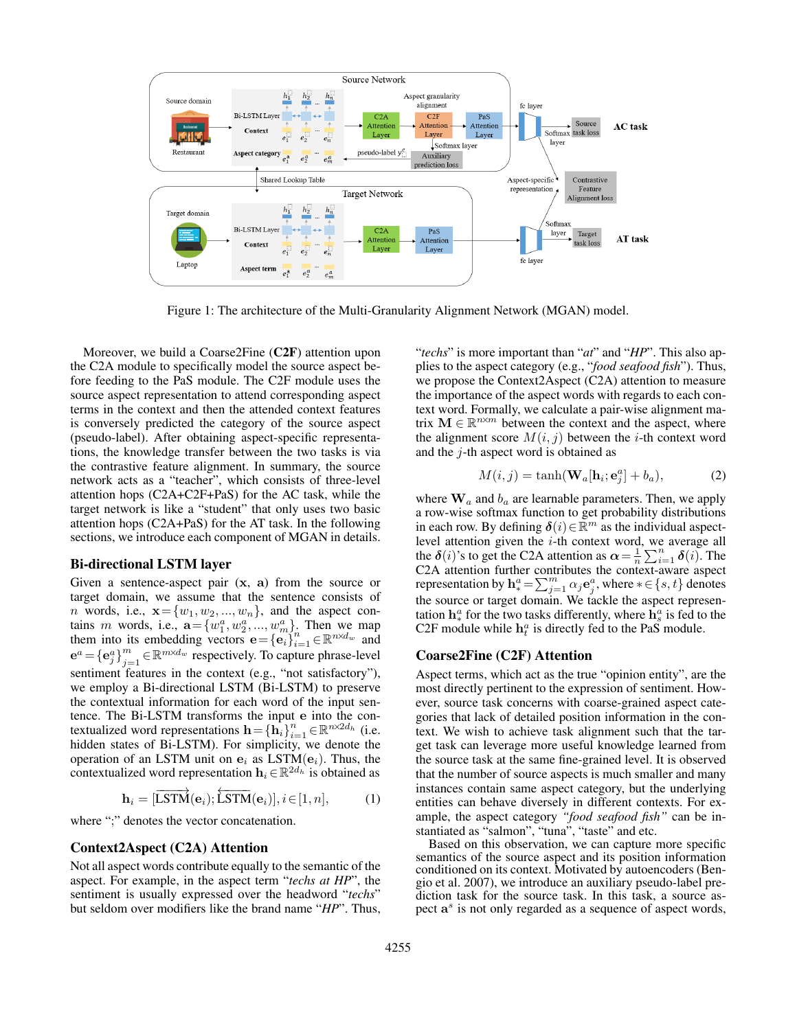

Figure 1: The architecture of the Multi-Granularity Alignment Network (MGAN) model.

Moreover, we build a Coarse2Fine (C2F) attention upon the C2A module to specifically model the source aspect before feeding to the PaS module. The C2F module uses the source aspect representation to attend corresponding aspect terms in the context and then the attended context features is conversely predicted the category of the source aspect (pseudo-label). After obtaining aspect-specific representations, the knowledge transfer between the two tasks is via the contrastive feature alignment. In summary, the source network acts as a "teacher", which consists of three-level attention hops (C2A+C2F+PaS) for the AC task, while the target network is like a "student" that only uses two basic attention hops (C2A+PaS) for the AT task. In the following sections, we introduce each component of MGAN in details.

#### Bi-directional LSTM layer

Given a sentence-aspect pair  $(x, a)$  from the source or target domain, we assume that the sentence consists of *n* words, i.e.,  $\mathbf{x} = \{w_1, w_2, ..., w_n\}$ , and the aspect contains *m* words, i.e.,  $\mathbf{a} = \{w_1^a, w_2^a, ..., w_m^a\}$ . Then we map them into its embedding vectors  $\mathbf{e} = \left\{ \mathbf{e}_i \right\}_{i=1}^n \in \mathbb{R}^{n \times d_w}$  and  $e^a = \{e_j^a\}_{j=1}^m \in \mathbb{R}^{m \times d_w}$  respectively. To capture phrase-level sentiment features in the context (e.g., "not satisfactory"), we employ a Bi-directional LSTM (Bi-LSTM) to preserve the contextual information for each word of the input sentence. The Bi-LSTM transforms the input e into the contextualized word representations  $\mathbf{h} = {\{\mathbf{h}_i\}}_{i=1}^n \in \mathbb{R}^{n \times 2d_h}$  (i.e. hidden states of Bi-LSTM). For simplicity, we denote the operation of an LSTM unit on  $e_i$  as LSTM $(e_i)$ . Thus, the contextualized word representation  $\mathbf{h}_i \in \mathbb{R}^{2d_h}$  is obtained as

$$
\mathbf{h}_{i} = [\overrightarrow{\text{LSTM}}(\mathbf{e}_{i}); \overleftarrow{\text{LSTM}}(\mathbf{e}_{i})], i \in [1, n],
$$
 (1)

where ";" denotes the vector concatenation.

#### Context2Aspect (C2A) Attention

Not all aspect words contribute equally to the semantic of the aspect. For example, in the aspect term "*techs at HP*", the sentiment is usually expressed over the headword "*techs*" but seldom over modifiers like the brand name "*HP*". Thus,

"*techs*" is more important than "*at*" and "*HP*". This also applies to the aspect category (e.g., "*food seafood fish*"). Thus, we propose the Context2Aspect (C2A) attention to measure the importance of the aspect words with regards to each context word. Formally, we calculate a pair-wise alignment matrix  $\mathbf{M} \in \mathbb{R}^{n \times m}$  between the context and the aspect, where the alignment score  $M(i, j)$  between the *i*-th context word and the j-th aspect word is obtained as

$$
M(i,j) = \tanh(\mathbf{W}_a[\mathbf{h}_i; \mathbf{e}_j^a] + b_a),\tag{2}
$$

where  $\mathbf{W}_a$  and  $b_a$  are learnable parameters. Then, we apply a row-wise softmax function to get probability distributions in each row. By defining  $\delta(i) \in \mathbb{R}^m$  as the individual aspectlevel attention given the  $i$ -th context word, we average all the  $\delta(i)$ 's to get the C2A attention as  $\alpha = \frac{1}{n} \sum_{i=1}^{n} \delta(i)$ . The C2A attention further contributes the context-aware aspect representation by  $h_*^a = \sum_{j=1}^m \alpha_j e_j^a$ , where  $*\in \{s, t\}$  denotes the source or target domain. We tackle the aspect representation  $\mathbf{h}^a_*$  for the two tasks differently, where  $\mathbf{h}^a_s$  is fed to the C2F module while  $h_t^a$  is directly fed to the PaS module.

#### Coarse2Fine (C2F) Attention

Aspect terms, which act as the true "opinion entity", are the most directly pertinent to the expression of sentiment. However, source task concerns with coarse-grained aspect categories that lack of detailed position information in the context. We wish to achieve task alignment such that the target task can leverage more useful knowledge learned from the source task at the same fine-grained level. It is observed that the number of source aspects is much smaller and many instances contain same aspect category, but the underlying entities can behave diversely in different contexts. For example, the aspect category *"food seafood fish"* can be instantiated as "salmon", "tuna", "taste" and etc.

Based on this observation, we can capture more specific semantics of the source aspect and its position information conditioned on its context. Motivated by autoencoders (Bengio et al. 2007), we introduce an auxiliary pseudo-label prediction task for the source task. In this task, a source aspect a<sup>s</sup> is not only regarded as a sequence of aspect words,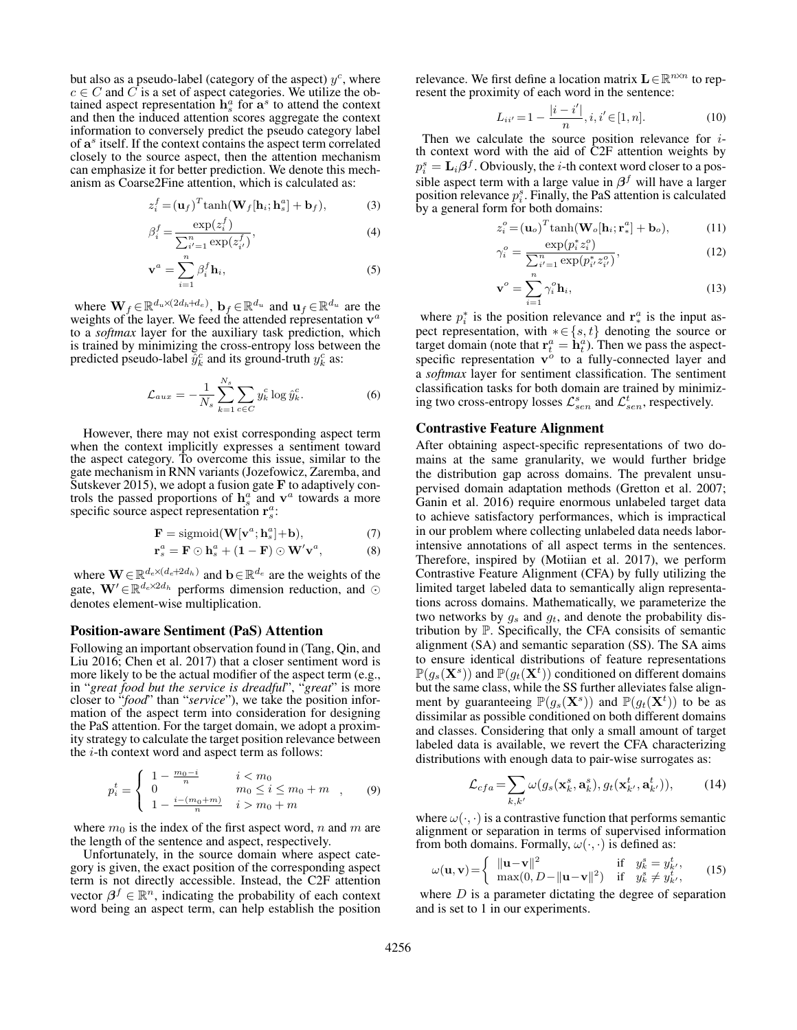but also as a pseudo-label (category of the aspect)  $y^c$ , where  $c \in C$  and  $\overline{C}$  is a set of aspect categories. We utilize the obtained aspect representation  $h_s^a$  for  $a^s$  to attend the context and then the induced attention scores aggregate the context information to conversely predict the pseudo category label of a<sup>s</sup> itself. If the context contains the aspect term correlated closely to the source aspect, then the attention mechanism can emphasize it for better prediction. We denote this mechanism as Coarse2Fine attention, which is calculated as:

$$
z_i^f = (\mathbf{u}_f)^T \tanh(\mathbf{W}_f[\mathbf{h}_i; \mathbf{h}_s^a] + \mathbf{b}_f),
$$
 (3)

$$
\beta_i^f = \frac{\exp(z_i^f)}{\sum_{i'=1}^n \exp(z_{i'}^f)},
$$
\n(4)

$$
\mathbf{v}^a = \sum_{i=1}^n \beta_i^f \mathbf{h}_i,\tag{5}
$$

where  $\mathbf{W}_f \in \mathbb{R}^{d_u \times (2d_h + d_e)}$ ,  $\mathbf{b}_f \in \mathbb{R}^{d_u}$  and  $\mathbf{u}_f \in \mathbb{R}^{d_u}$  are the weights of the layer. We feed the attended representation  $\mathbf{v}^a$ to a *softmax* layer for the auxiliary task prediction, which is trained by minimizing the cross-entropy loss between the predicted pseudo-label  $\tilde{y}_k^c$  and its ground-truth  $y_k^c$  as:

$$
\mathcal{L}_{aux} = -\frac{1}{N_s} \sum_{k=1}^{N_s} \sum_{c \in C} y_k^c \log \hat{y}_k^c.
$$
 (6)

However, there may not exist corresponding aspect term when the context implicitly expresses a sentiment toward the aspect category. To overcome this issue, similar to the gate mechanism in RNN variants (Jozefowicz, Zaremba, and Sutskever 2015), we adopt a fusion gate  $\bf{F}$  to adaptively controls the passed proportions of  $h_s^a$  and  $v^a$  towards a more specific source aspect representation  $\mathbf{r}_s^a$ :

$$
\mathbf{F} = \text{sigmoid}(\mathbf{W}[\mathbf{v}^a; \mathbf{h}_s^a] + \mathbf{b}),\tag{7}
$$

$$
\mathbf{r}_s^a = \mathbf{F} \odot \mathbf{h}_s^a + (\mathbf{1} - \mathbf{F}) \odot \mathbf{W}' \mathbf{v}^a, \tag{8}
$$

where  $\mathbf{W} \in \mathbb{R}^{d_e \times (d_e + 2d_h)}$  and  $\mathbf{b} \in \mathbb{R}^{d_e}$  are the weights of the gate,  $\mathbf{W}' \in \mathbb{R}^{d_e \times 2d_h}$  performs dimension reduction, and  $\odot$ denotes element-wise multiplication.

#### Position-aware Sentiment (PaS) Attention

Following an important observation found in (Tang, Qin, and Liu 2016; Chen et al. 2017) that a closer sentiment word is more likely to be the actual modifier of the aspect term (e.g., in "*great food but the service is dreadful*", "*great*" is more closer to "*food*" than "*service*"), we take the position information of the aspect term into consideration for designing the PaS attention. For the target domain, we adopt a proximity strategy to calculate the target position relevance between the  $i$ -th context word and aspect term as follows:

$$
p_i^t = \begin{cases} 1 - \frac{m_0 - i}{n} & i < m_0 \\ 0 & m_0 \le i \le m_0 + m \\ 1 - \frac{i - (m_0 + m)}{n} & i > m_0 + m \end{cases} \tag{9}
$$

where  $m_0$  is the index of the first aspect word, n and m are the length of the sentence and aspect, respectively.

Unfortunately, in the source domain where aspect category is given, the exact position of the corresponding aspect term is not directly accessible. Instead, the C2F attention vector  $\beta^f \in \mathbb{R}^n$ , indicating the probability of each context word being an aspect term, can help establish the position

relevance. We first define a location matrix  $\mathbf{L} \in \mathbb{R}^{n \times n}$  to represent the proximity of each word in the sentence:

$$
L_{ii'} = 1 - \frac{|i - i'|}{n}, i, i' \in [1, n].
$$
 (10)

Then we calculate the source position relevance for  $i$ th context word with the aid of C2F attention weights by  $p_i^s = \mathbf{L}_i \boldsymbol{\beta}^f$  . Obviously, the  $i$ -th context word closer to a possible aspect term with a large value in  $\beta^f$  will have a larger position relevance  $p_i^s$ . Finally, the PaS attention is calculated by a general form for both domains:

$$
z_i^o = (\mathbf{u}_o)^T \tanh(\mathbf{W}_o[\mathbf{h}_i; \mathbf{r}_*^a] + \mathbf{b}_o), \tag{11}
$$

$$
\gamma_i^o = \frac{\exp(p_i^* z_i^o)}{\sum_{i'=1}^n \exp(p_{i'}^* z_{i'}^o)},\tag{12}
$$

$$
\mathbf{v}^o = \sum_{i=1}^n \gamma_i^o \mathbf{h}_i,\tag{13}
$$

where  $p_i^*$  is the position relevance and  $\mathbf{r}_*^a$  is the input aspect representation, with  $*\in\{s,t\}$  denoting the source or target domain (note that  $\mathbf{r}_t^a = \dot{\mathbf{h}}_t^a$ ). Then we pass the aspectspecific representation  $v^{\circ}$  to a fully-connected layer and a *softmax* layer for sentiment classification. The sentiment classification tasks for both domain are trained by minimizing two cross-entropy losses  $\mathcal{L}_{sen}^s$  and  $\mathcal{L}_{sen}^t$ , respectively.

## Contrastive Feature Alignment

After obtaining aspect-specific representations of two domains at the same granularity, we would further bridge the distribution gap across domains. The prevalent unsupervised domain adaptation methods (Gretton et al. 2007; Ganin et al. 2016) require enormous unlabeled target data to achieve satisfactory performances, which is impractical in our problem where collecting unlabeled data needs laborintensive annotations of all aspect terms in the sentences. Therefore, inspired by (Motiian et al. 2017), we perform Contrastive Feature Alignment (CFA) by fully utilizing the limited target labeled data to semantically align representations across domains. Mathematically, we parameterize the two networks by  $q_s$  and  $q_t$ , and denote the probability distribution by P. Specifically, the CFA consisits of semantic alignment (SA) and semantic separation (SS). The SA aims to ensure identical distributions of feature representations  $\mathbb{P}(g_s(\mathbf{X}^s))$  and  $\mathbb{P}(g_t(\mathbf{X}^t))$  conditioned on different domains but the same class, while the SS further alleviates false alignment by guaranteeing  $\mathbb{P}(g_s(\mathbf{X}^s))$  and  $\mathbb{P}(g_t(\mathbf{X}^t))$  to be as dissimilar as possible conditioned on both different domains and classes. Considering that only a small amount of target labeled data is available, we revert the CFA characterizing distributions with enough data to pair-wise surrogates as:

$$
\mathcal{L}_{cfa} = \sum_{k,k'} \omega(g_s(\mathbf{x}_k^s, \mathbf{a}_k^s), g_t(\mathbf{x}_{k'}^t, \mathbf{a}_{k'}^t)),
$$
 (14)

where  $\omega(\cdot, \cdot)$  is a contrastive function that performs semantic alignment or separation in terms of supervised information from both domains. Formally,  $\omega(\cdot, \cdot)$  is defined as:

$$
\omega(\mathbf{u}, \mathbf{v}) = \begin{cases} \|\mathbf{u} - \mathbf{v}\|^2 & \text{if } y_k^s = y_{k'}^t, \\ \max(0, D - \|\mathbf{u} - \mathbf{v}\|^2) & \text{if } y_k^s \neq y_{k'}^t, \end{cases}
$$
(15)

where  $D$  is a parameter dictating the degree of separation and is set to 1 in our experiments.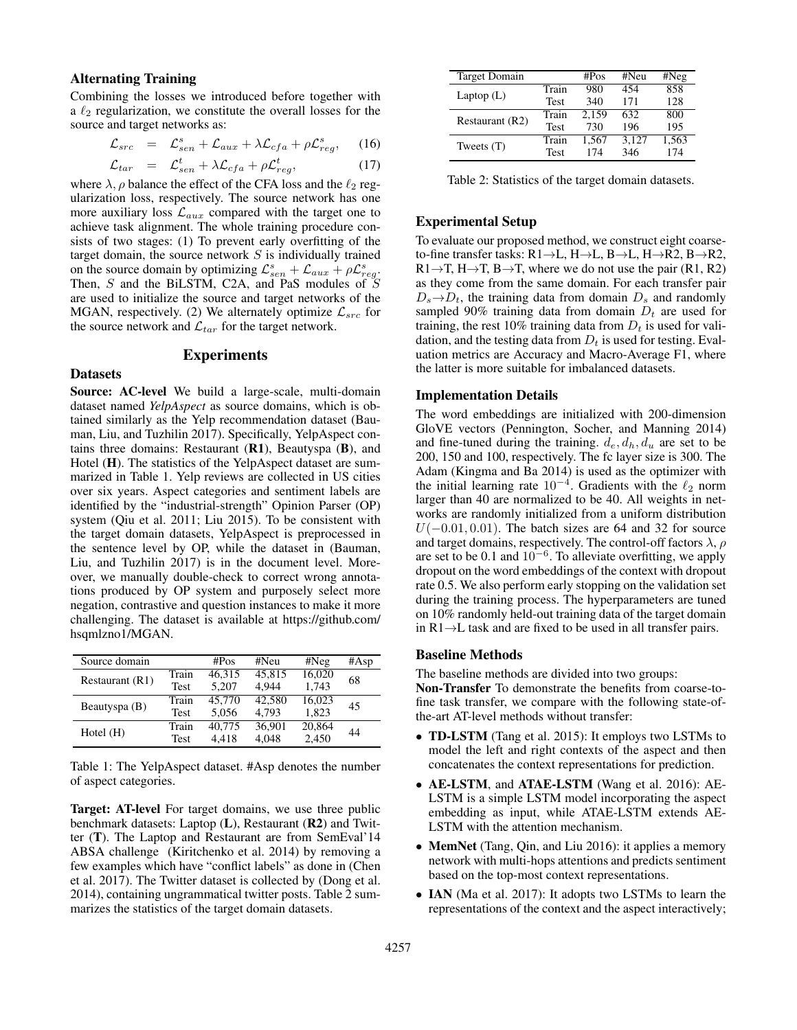### Alternating Training

Combining the losses we introduced before together with a  $\ell_2$  regularization, we constitute the overall losses for the source and target networks as:

$$
\mathcal{L}_{src} = \mathcal{L}_{sen}^s + \mathcal{L}_{aux} + \lambda \mathcal{L}_{cfa} + \rho \mathcal{L}_{reg}^s, \quad (16)
$$

$$
\mathcal{L}_{tar} = \mathcal{L}_{sen}^{t} + \lambda \mathcal{L}_{cfa} + \rho \mathcal{L}_{reg}^{t}, \qquad (17)
$$

where  $\lambda$ ,  $\rho$  balance the effect of the CFA loss and the  $\ell_2$  regularization loss, respectively. The source network has one more auxiliary loss  $\mathcal{L}_{aux}$  compared with the target one to achieve task alignment. The whole training procedure consists of two stages: (1) To prevent early overfitting of the target domain, the source network  $S$  is individually trained on the source domain by optimizing  $\mathcal{L}_{sen}^s + \mathcal{L}_{aux} + \rho \mathcal{L}_{reg}^s$ . Then,  $S$  and the BiLSTM, C2A, and PaS modules of  $S$ are used to initialize the source and target networks of the MGAN, respectively. (2) We alternately optimize  $\mathcal{L}_{src}$  for the source network and  $\mathcal{L}_{tar}$  for the target network.

#### Experiments

#### Datasets

Source: AC-level We build a large-scale, multi-domain dataset named *YelpAspect* as source domains, which is obtained similarly as the Yelp recommendation dataset (Bauman, Liu, and Tuzhilin 2017). Specifically, YelpAspect contains three domains: Restaurant  $(R1)$ , Beautyspa  $(B)$ , and Hotel (H). The statistics of the YelpAspect dataset are summarized in Table 1. Yelp reviews are collected in US cities over six years. Aspect categories and sentiment labels are identified by the "industrial-strength" Opinion Parser (OP) system (Qiu et al. 2011; Liu 2015). To be consistent with the target domain datasets, YelpAspect is preprocessed in the sentence level by OP, while the dataset in (Bauman, Liu, and Tuzhilin 2017) is in the document level. Moreover, we manually double-check to correct wrong annotations produced by OP system and purposely select more negation, contrastive and question instances to make it more challenging. The dataset is available at https://github.com/ hsqmlzno1/MGAN.

| Source domain   |       | # $Pos$ | #Neu   | #Neg   | #Asp |  |
|-----------------|-------|---------|--------|--------|------|--|
| Restaurant (R1) | Train | 46,315  | 45.815 | 16,020 | 68   |  |
|                 | Test  | 5.207   | 4.944  | 1.743  |      |  |
| Beautyspa (B)   | Train | 45,770  | 42.580 | 16,023 | 45   |  |
|                 | Test  | 5.056   | 4.793  | 1,823  |      |  |
| Hotel(H)        | Train | 40,775  | 36.901 | 20,864 | 44   |  |
|                 | Test  | 4.418   | 4.048  | 2,450  |      |  |

Table 1: The YelpAspect dataset. #Asp denotes the number of aspect categories.

Target: AT-level For target domains, we use three public benchmark datasets: Laptop (L), Restaurant (R2) and Twitter (T). The Laptop and Restaurant are from SemEval'14 ABSA challenge (Kiritchenko et al. 2014) by removing a few examples which have "conflict labels" as done in (Chen et al. 2017). The Twitter dataset is collected by (Dong et al. 2014), containing ungrammatical twitter posts. Table 2 summarizes the statistics of the target domain datasets.

| Target Domain   |             | # $Pos$ | #Neu                       | #Neg  |
|-----------------|-------------|---------|----------------------------|-------|
|                 | Train       | 980     | 454                        | 858   |
| Laptop $(L)$    | <b>Test</b> | 340     | 171<br>632<br>196<br>3.127 | 128   |
| Restaurant (R2) | Train       | 2.159   |                            | 800   |
|                 | Test        | 730     |                            | 195   |
| Tweets $(T)$    | Train       | 1.567   |                            | 1,563 |
|                 | Test        | 174     | 346                        | 174   |

Table 2: Statistics of the target domain datasets.

## Experimental Setup

To evaluate our proposed method, we construct eight coarseto-fine transfer tasks: R1→L, H→L, B→L, H→R2, B→R2,  $R1 \rightarrow T$ ,  $H \rightarrow T$ ,  $B \rightarrow T$ , where we do not use the pair (R1, R2) as they come from the same domain. For each transfer pair  $D_s \rightarrow D_t$ , the training data from domain  $D_s$  and randomly sampled 90% training data from domain  $D_t$  are used for training, the rest 10% training data from  $D_t$  is used for validation, and the testing data from  $D_t$  is used for testing. Evaluation metrics are Accuracy and Macro-Average F1, where the latter is more suitable for imbalanced datasets.

#### Implementation Details

The word embeddings are initialized with 200-dimension GloVE vectors (Pennington, Socher, and Manning 2014) and fine-tuned during the training.  $d_e, d_h, d_u$  are set to be 200, 150 and 100, respectively. The fc layer size is 300. The Adam (Kingma and Ba 2014) is used as the optimizer with the initial learning rate  $10^{-4}$ . Gradients with the  $\ell_2$  norm larger than 40 are normalized to be 40. All weights in networks are randomly initialized from a uniform distribution  $U(-0.01, 0.01)$ . The batch sizes are 64 and 32 for source and target domains, respectively. The control-off factors  $\lambda, \rho$ are set to be 0.1 and  $10^{-6}$ . To alleviate overfitting, we apply dropout on the word embeddings of the context with dropout rate 0.5. We also perform early stopping on the validation set during the training process. The hyperparameters are tuned on 10% randomly held-out training data of the target domain in R1→L task and are fixed to be used in all transfer pairs.

#### Baseline Methods

The baseline methods are divided into two groups:

Non-Transfer To demonstrate the benefits from coarse-tofine task transfer, we compare with the following state-ofthe-art AT-level methods without transfer:

- TD-LSTM (Tang et al. 2015): It employs two LSTMs to model the left and right contexts of the aspect and then concatenates the context representations for prediction.
- AE-LSTM, and ATAE-LSTM (Wang et al. 2016): AE-LSTM is a simple LSTM model incorporating the aspect embedding as input, while ATAE-LSTM extends AE-LSTM with the attention mechanism.
- MemNet (Tang, Qin, and Liu 2016): it applies a memory network with multi-hops attentions and predicts sentiment based on the top-most context representations.
- IAN (Ma et al. 2017): It adopts two LSTMs to learn the representations of the context and the aspect interactively;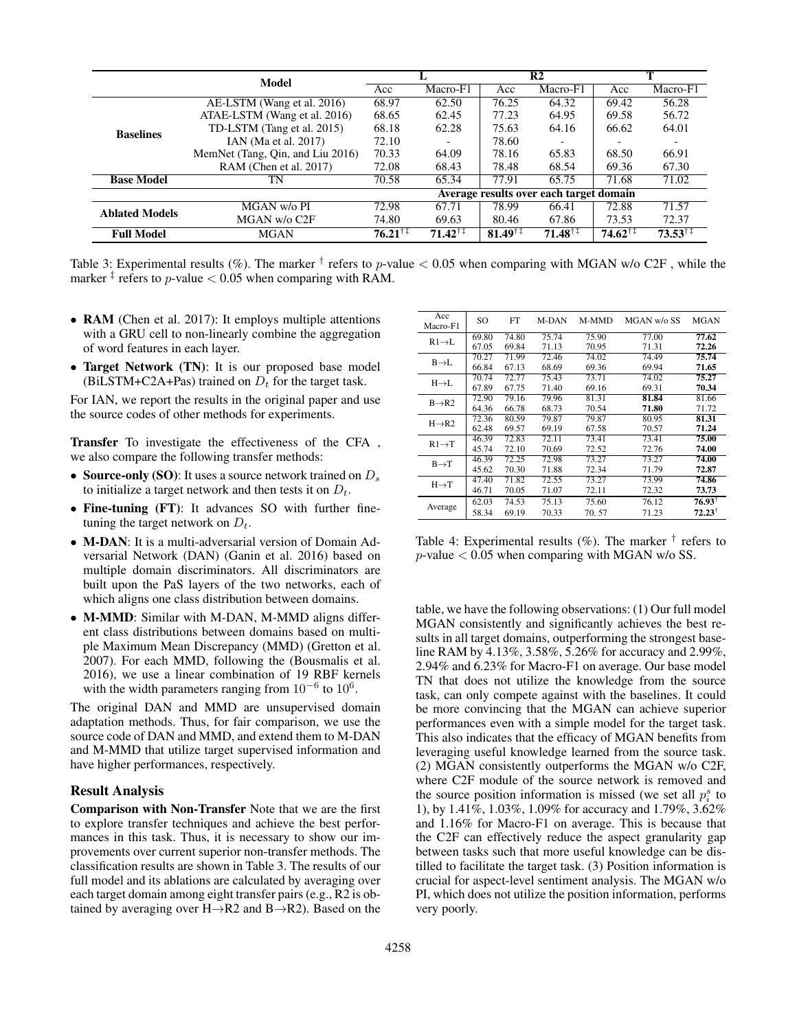|                       | Model                            | ъ.                                      |                          | R <sub>2</sub>    |                   | т                 |                   |
|-----------------------|----------------------------------|-----------------------------------------|--------------------------|-------------------|-------------------|-------------------|-------------------|
|                       |                                  | Acc                                     | $Macro-F1$               | Acc               | Macro-F1          | Acc               | Macro-F1          |
|                       | AE-LSTM (Wang et al. 2016)       | 68.97                                   | 62.50                    | 76.25             | 64.32             | 69.42             | 56.28             |
| <b>Baselines</b>      | ATAE-LSTM (Wang et al. 2016)     | 68.65                                   | 62.45                    | 77.23             | 64.95             | 69.58             | 56.72             |
|                       | TD-LSTM (Tang et al. 2015)       | 68.18                                   | 62.28                    | 75.63             | 64.16             | 66.62             | 64.01             |
|                       | IAN (Ma et al. 2017)             | 72.10                                   | $\overline{\phantom{0}}$ | 78.60             |                   |                   |                   |
|                       | MemNet (Tang, Qin, and Liu 2016) | 70.33                                   | 64.09                    | 78.16             | 65.83             | 68.50             | 66.91             |
|                       | RAM (Chen et al. 2017)           | 72.08                                   | 68.43                    | 78.48             | 68.54             | 69.36             | 67.30             |
| <b>Base Model</b>     | TN                               | 70.58                                   | 65.34                    | 77.91             | 65.75             | 71.68             | 71.02             |
|                       |                                  | Average results over each target domain |                          |                   |                   |                   |                   |
| <b>Ablated Models</b> | MGAN w/o PI                      | 72.98                                   | 67.71                    | 78.99             | 66.41             | 72.88             | 71.57             |
|                       | MGAN w/o C2F                     | 74.80                                   | 69.63                    | 80.46             | 67.86             | 73.53             | 72.37             |
| <b>Full Model</b>     | <b>MGAN</b>                      | $76.21^{\dagger}$                       | $71.42^{\dagger}$        | $81.49^{\dagger}$ | $71.48^{\dagger}$ | $74.62^{\dagger}$ | $73.53^{\dagger}$ |

Table 3: Experimental results (%). The marker  $^{\dagger}$  refers to p-value  $< 0.05$  when comparing with MGAN w/o C2F, while the marker  $\frac{4}{3}$  refers to p-value  $< 0.05$  when comparing with RAM.

- RAM (Chen et al. 2017): It employs multiple attentions with a GRU cell to non-linearly combine the aggregation of word features in each layer.
- Target Network (TN): It is our proposed base model (BiLSTM+C2A+Pas) trained on  $D_t$  for the target task.

For IAN, we report the results in the original paper and use the source codes of other methods for experiments.

Transfer To investigate the effectiveness of the CFA , we also compare the following transfer methods:

- Source-only (SO): It uses a source network trained on  $D_s$ to initialize a target network and then tests it on  $D_t$ .
- Fine-tuning (FT): It advances SO with further finetuning the target network on  $D_t$ .
- M-DAN: It is a multi-adversarial version of Domain Adversarial Network (DAN) (Ganin et al. 2016) based on multiple domain discriminators. All discriminators are built upon the PaS layers of the two networks, each of which aligns one class distribution between domains.
- M-MMD: Similar with M-DAN, M-MMD aligns different class distributions between domains based on multiple Maximum Mean Discrepancy (MMD) (Gretton et al. 2007). For each MMD, following the (Bousmalis et al. 2016), we use a linear combination of 19 RBF kernels with the width parameters ranging from  $10^{-6}$  to  $10^{6}$ .

The original DAN and MMD are unsupervised domain adaptation methods. Thus, for fair comparison, we use the source code of DAN and MMD, and extend them to M-DAN and M-MMD that utilize target supervised information and have higher performances, respectively.

## Result Analysis

Comparison with Non-Transfer Note that we are the first to explore transfer techniques and achieve the best performances in this task. Thus, it is necessary to show our improvements over current superior non-transfer methods. The classification results are shown in Table 3. The results of our full model and its ablations are calculated by averaging over each target domain among eight transfer pairs (e.g., R2 is obtained by averaging over  $H\rightarrow R2$  and  $B\rightarrow R2$ ). Based on the

| Acc<br>Macro-F1    | SO    | FT    | M-DAN | M-MMD | MGAN w/o SS | <b>MGAN</b>          |
|--------------------|-------|-------|-------|-------|-------------|----------------------|
| $R1 \rightarrow L$ | 69.80 | 74.80 | 75.74 | 75.90 | 77.00       | 77.62                |
|                    | 67.05 | 69.84 | 71.13 | 70.95 | 71.31       | 72.26                |
| $B\rightarrow L$   | 70.27 | 71.99 | 72.46 | 74.02 | 74.49       | 75.74                |
|                    | 66.84 | 67.13 | 68.69 | 69.36 | 69.94       | 71.65                |
| $H \rightarrow L$  | 70.74 | 72.77 | 75.43 | 73.71 | 74.02       | 75.27                |
|                    | 67.89 | 67.75 | 71.40 | 69.16 | 69.31       | 70.34                |
| $B \rightarrow R2$ | 72.90 | 79.16 | 79.96 | 81.31 | 81.84       | 81.66                |
|                    | 64.36 | 66.78 | 68.73 | 70.54 | 71.80       | 71.72                |
| $H\rightarrow R2$  | 72.36 | 80.59 | 79.87 | 79.87 | 80.95       | 81.31                |
|                    | 62.48 | 69.57 | 69.19 | 67.58 | 70.57       | 71.24                |
| $R1 \rightarrow T$ | 46.39 | 72.83 | 72.11 | 73.41 | 73.41       | 75.00                |
|                    | 45.74 | 72.10 | 70.69 | 72.52 | 72.76       | 74.00                |
| $B \rightarrow T$  | 46.39 | 72.25 | 72.98 | 73.27 | 73.27       | 74.00                |
|                    | 45.62 | 70.30 | 71.88 | 72.34 | 71.79       | 72.87                |
| $H \rightarrow T$  | 47.40 | 71.82 | 72.55 | 73.27 | 73.99       | 74.86                |
|                    | 46.71 | 70.05 | 71.07 | 72.11 | 72.32       | 73.73                |
| Average            | 62.03 | 74.53 | 75.13 | 75.60 | 76.12       | $76.93$ <sup>t</sup> |
|                    | 58.34 | 69.19 | 70.33 | 70.57 | 71.23       | $72.23^{\dagger}$    |

Table 4: Experimental results  $(\%)$ . The marker  $^{\dagger}$  refers to  $p$ -value  $< 0.05$  when comparing with MGAN w/o SS.

table, we have the following observations: (1) Our full model MGAN consistently and significantly achieves the best results in all target domains, outperforming the strongest baseline RAM by 4.13%, 3.58%, 5.26% for accuracy and 2.99%, 2.94% and 6.23% for Macro-F1 on average. Our base model TN that does not utilize the knowledge from the source task, can only compete against with the baselines. It could be more convincing that the MGAN can achieve superior performances even with a simple model for the target task. This also indicates that the efficacy of MGAN benefits from leveraging useful knowledge learned from the source task. (2) MGAN consistently outperforms the MGAN w/o C2F, where C2F module of the source network is removed and the source position information is missed (we set all  $p_i^s$  to 1), by 1.41%, 1.03%, 1.09% for accuracy and 1.79%, 3.62% and 1.16% for Macro-F1 on average. This is because that the C2F can effectively reduce the aspect granularity gap between tasks such that more useful knowledge can be distilled to facilitate the target task. (3) Position information is crucial for aspect-level sentiment analysis. The MGAN w/o PI, which does not utilize the position information, performs very poorly.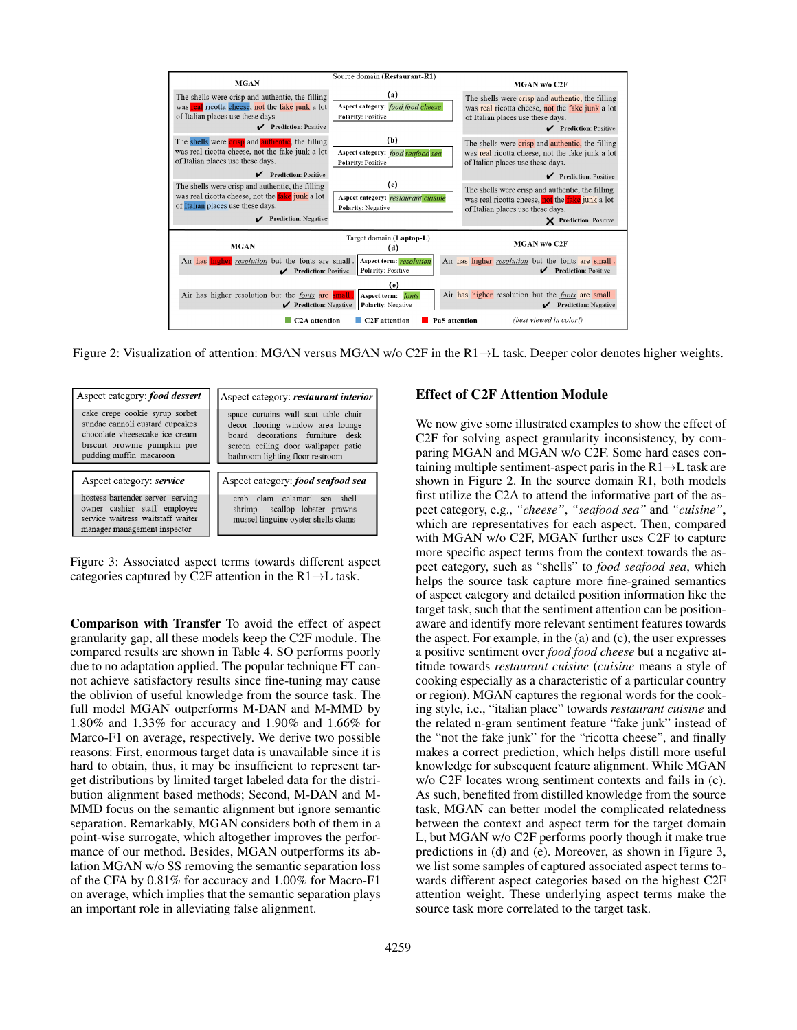

Figure 2: Visualization of attention: MGAN versus MGAN w/o C2F in the  $R1 \rightarrow L$  task. Deeper color denotes higher weights.



Figure 3: Associated aspect terms towards different aspect categories captured by C2F attention in the  $R1 \rightarrow L$  task.

Comparison with Transfer To avoid the effect of aspect granularity gap, all these models keep the C2F module. The compared results are shown in Table 4. SO performs poorly due to no adaptation applied. The popular technique FT cannot achieve satisfactory results since fine-tuning may cause the oblivion of useful knowledge from the source task. The full model MGAN outperforms M-DAN and M-MMD by 1.80% and 1.33% for accuracy and 1.90% and 1.66% for Marco-F1 on average, respectively. We derive two possible reasons: First, enormous target data is unavailable since it is hard to obtain, thus, it may be insufficient to represent target distributions by limited target labeled data for the distribution alignment based methods; Second, M-DAN and M-MMD focus on the semantic alignment but ignore semantic separation. Remarkably, MGAN considers both of them in a point-wise surrogate, which altogether improves the performance of our method. Besides, MGAN outperforms its ablation MGAN w/o SS removing the semantic separation loss of the CFA by 0.81% for accuracy and 1.00% for Macro-F1 on average, which implies that the semantic separation plays an important role in alleviating false alignment.

## Effect of C2F Attention Module

We now give some illustrated examples to show the effect of C2F for solving aspect granularity inconsistency, by comparing MGAN and MGAN w/o C2F. Some hard cases containing multiple sentiment-aspect paris in the  $R1 \rightarrow L$  task are shown in Figure 2. In the source domain R1, both models first utilize the C2A to attend the informative part of the aspect category, e.g., *"cheese"*, *"seafood sea"* and *"cuisine"*, which are representatives for each aspect. Then, compared with MGAN w/o C2F, MGAN further uses C2F to capture more specific aspect terms from the context towards the aspect category, such as "shells" to *food seafood sea*, which helps the source task capture more fine-grained semantics of aspect category and detailed position information like the target task, such that the sentiment attention can be positionaware and identify more relevant sentiment features towards the aspect. For example, in the (a) and (c), the user expresses a positive sentiment over *food food cheese* but a negative attitude towards *restaurant cuisine* (*cuisine* means a style of cooking especially as a characteristic of a particular country or region). MGAN captures the regional words for the cooking style, i.e., "italian place" towards *restaurant cuisine* and the related n-gram sentiment feature "fake junk" instead of the "not the fake junk" for the "ricotta cheese", and finally makes a correct prediction, which helps distill more useful knowledge for subsequent feature alignment. While MGAN w/o C2F locates wrong sentiment contexts and fails in (c). As such, benefited from distilled knowledge from the source task, MGAN can better model the complicated relatedness between the context and aspect term for the target domain L, but MGAN w/o C2F performs poorly though it make true predictions in (d) and (e). Moreover, as shown in Figure 3, we list some samples of captured associated aspect terms towards different aspect categories based on the highest C2F attention weight. These underlying aspect terms make the source task more correlated to the target task.